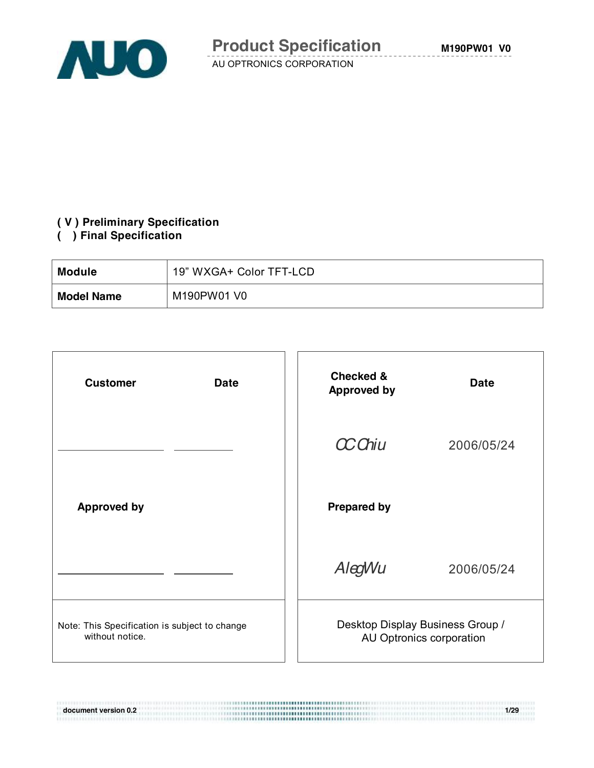

**( V ) Preliminary Specification** 

### **( ) Final Specification**

| Module            | 19" WXGA+ Color TFT-LCD |
|-------------------|-------------------------|
| <b>Model Name</b> | M190PW01 V0             |

| <b>Customer</b><br><b>Date</b>                                   | <b>Checked &amp;</b><br><b>Approved by</b> | <b>Date</b>                                                  |
|------------------------------------------------------------------|--------------------------------------------|--------------------------------------------------------------|
|                                                                  | <b>CCChiu</b>                              | 2006/05/24                                                   |
| <b>Approved by</b>                                               | <b>Prepared by</b>                         |                                                              |
|                                                                  | AlegWu                                     | 2006/05/24                                                   |
| Note: This Specification is subject to change<br>without notice. |                                            | Desktop Display Business Group /<br>AU Optronics corporation |

**document version 0.2** 1/29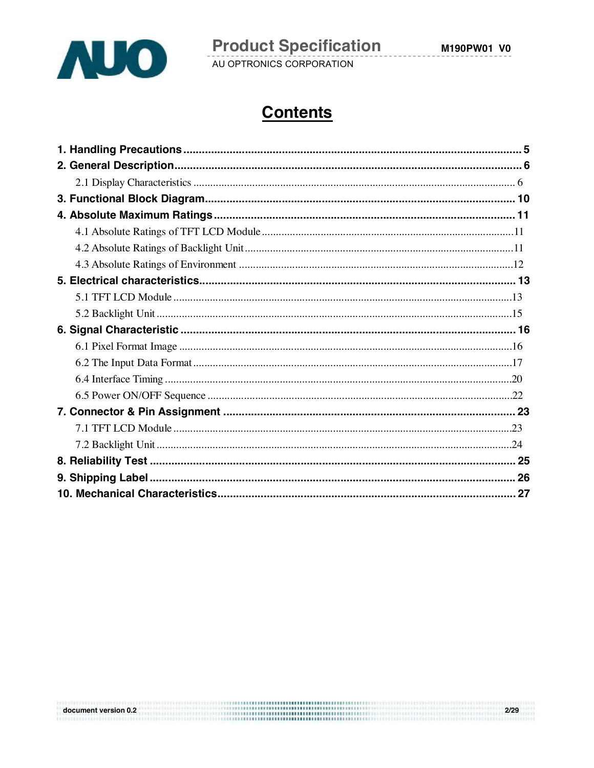

# **Contents**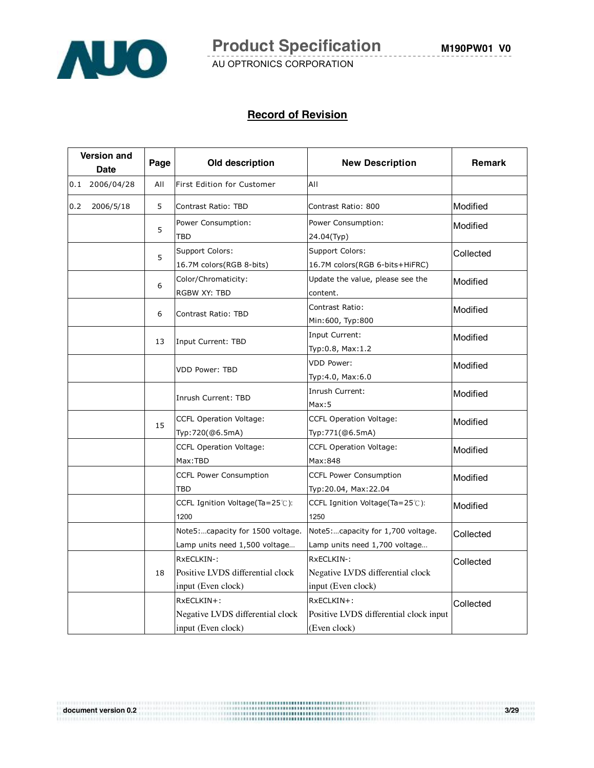

#### **Record of Revision**

| <b>Version and</b><br><b>Date</b> | Page                     | Old description                                                      | <b>New Description</b>                                                  | Remark    |
|-----------------------------------|--------------------------|----------------------------------------------------------------------|-------------------------------------------------------------------------|-----------|
| 0.1 2006/04/28                    | All                      | <b>First Edition for Customer</b>                                    | All                                                                     |           |
| 0.2<br>2006/5/18                  | 5                        | <b>Contrast Ratio: TBD</b>                                           | Contrast Ratio: 800                                                     | Modified  |
|                                   | 5                        | Power Consumption:<br><b>TBD</b>                                     | Power Consumption:<br>24.04(Typ)                                        | Modified  |
|                                   | 5                        | Support Colors:<br>16.7M colors(RGB 8-bits)                          | Support Colors:<br>16.7M colors(RGB 6-bits+HiFRC)                       | Collected |
|                                   | 6                        | Color/Chromaticity:<br>RGBW XY: TBD                                  | Update the value, please see the<br>content.                            | Modified  |
|                                   | 6                        | Contrast Ratio: TBD                                                  | Contrast Ratio:<br>Min: 600, Typ: 800                                   | Modified  |
|                                   | 13<br>Input Current: TBD |                                                                      | Input Current:<br>Typ:0.8, Max:1.2                                      | Modified  |
|                                   |                          | <b>VDD Power: TBD</b>                                                | <b>VDD Power:</b><br>Typ:4.0, Max:6.0                                   | Modified  |
|                                   | Inrush Current: TBD      |                                                                      | Inrush Current:<br>Max:5                                                | Modified  |
|                                   | 15                       | <b>CCFL Operation Voltage:</b><br>Typ:720(@6.5mA)                    | <b>CCFL Operation Voltage:</b><br>Typ:771(@6.5mA)                       | Modified  |
|                                   |                          | <b>CCFL Operation Voltage:</b><br>Max:TBD                            | <b>CCFL Operation Voltage:</b><br>Max:848                               | Modified  |
|                                   |                          | <b>CCFL Power Consumption</b><br>TBD                                 | <b>CCFL Power Consumption</b><br>Typ:20.04, Max:22.04                   | Modified  |
|                                   |                          | CCFL Ignition Voltage(Ta=25 $°C$ ):<br>1200                          | CCFL Ignition Voltage(Ta=25℃):<br>1250                                  | Modified  |
|                                   |                          | Note5:capacity for 1500 voltage.<br>Lamp units need 1,500 voltage    | Note5:capacity for 1,700 voltage.<br>Lamp units need 1,700 voltage      | Collected |
|                                   | 18                       | RxECLKIN-:<br>Positive LVDS differential clock<br>input (Even clock) | RxECLKIN-:<br>Negative LVDS differential clock<br>input (Even clock)    | Collected |
|                                   |                          | RxECLKIN+:<br>Negative LVDS differential clock<br>input (Even clock) | $RxECLKIN+$ :<br>Positive LVDS differential clock input<br>(Even clock) | Collected |

**document version 0.2 3/29**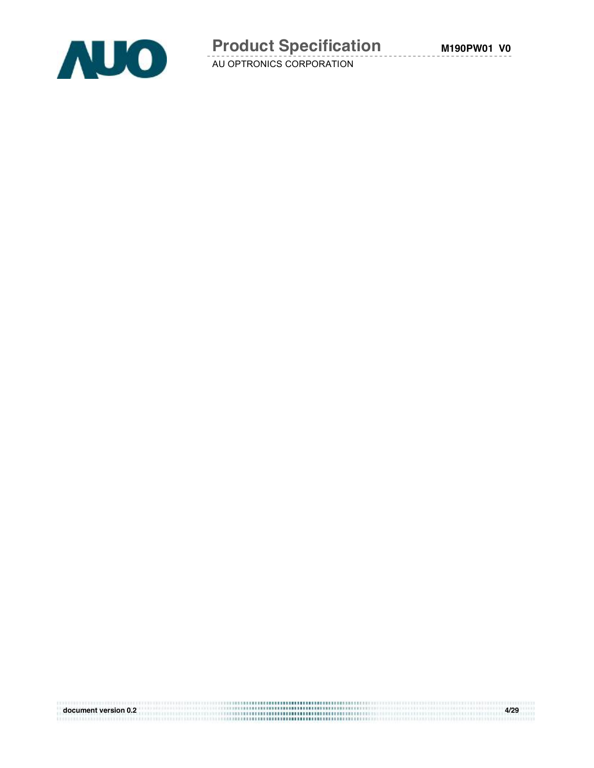

**document version 0.2 4/29**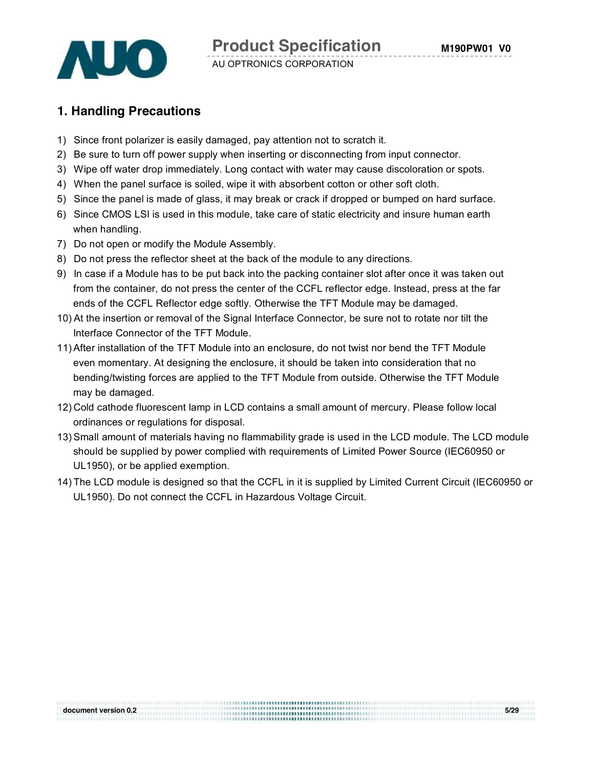

## **1. Handling Precautions**

- 1) Since front polarizer is easily damaged, pay attention not to scratch it.
- 2) Be sure to turn off power supply when inserting or disconnecting from input connector.
- 3) Wipe off water drop immediately. Long contact with water may cause discoloration or spots.
- 4) When the panel surface is soiled, wipe it with absorbent cotton or other soft cloth.
- 5) Since the panel is made of glass, it may break or crack if dropped or bumped on hard surface.
- 6) Since CMOS LSI is used in this module, take care of static electricity and insure human earth when handling.
- 7) Do not open or modify the Module Assembly.
- 8) Do not press the reflector sheet at the back of the module to any directions.
- 9) In case if a Module has to be put back into the packing container slot after once it was taken out from the container, do not press the center of the CCFL reflector edge. Instead, press at the far ends of the CCFL Reflector edge softly. Otherwise the TFT Module may be damaged.
- 10) At the insertion or removal of the Signal Interface Connector, be sure not to rotate nor tilt the Interface Connector of the TFT Module.
- 11)After installation of the TFT Module into an enclosure, do not twist nor bend the TFT Module even momentary. At designing the enclosure, it should be taken into consideration that no bending/twisting forces are applied to the TFT Module from outside. Otherwise the TFT Module may be damaged.
- 12) Cold cathode fluorescent lamp in LCD contains a small amount of mercury. Please follow local ordinances or regulations for disposal.
- 13) Small amount of materials having no flammability grade is used in the LCD module. The LCD module should be supplied by power complied with requirements of Limited Power Source (IEC60950 or UL1950), or be applied exemption.
- 14) The LCD module is designed so that the CCFL in it is supplied by Limited Current Circuit (IEC60950 or UL1950). Do not connect the CCFL in Hazardous Voltage Circuit.

**document version 0.2** 5/29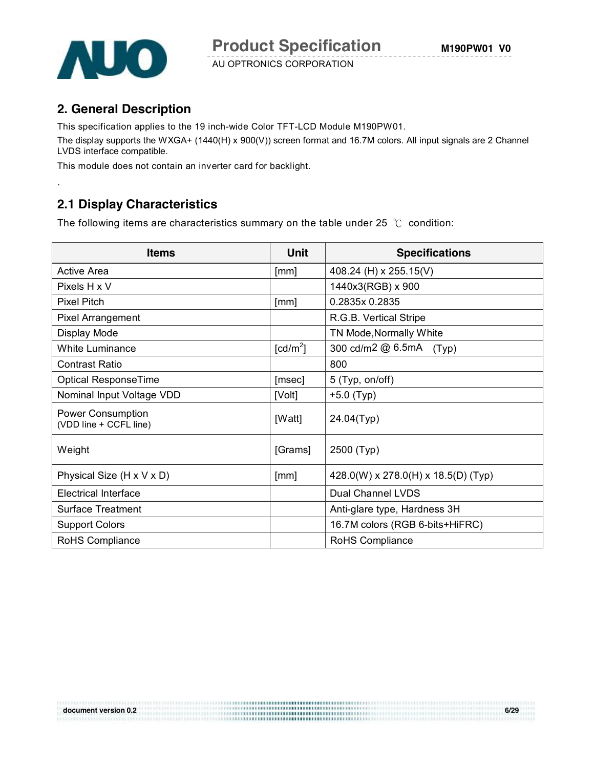

.

#### **2. General Description**

This specification applies to the 19 inch-wide Color TFT-LCD Module M190PW01.

The display supports the WXGA+ (1440(H) x 900(V)) screen format and 16.7M colors. All input signals are 2 Channel LVDS interface compatible.

This module does not contain an inverter card for backlight.

## **2.1 Display Characteristics**

The following items are characteristics summary on the table under 25  $°C$  condition:

| <b>Items</b>                                | <b>Unit</b>          | <b>Specifications</b>               |
|---------------------------------------------|----------------------|-------------------------------------|
| <b>Active Area</b>                          | [mm]                 | 408.24 (H) x 255.15(V)              |
| Pixels H x V                                |                      | 1440x3(RGB) x 900                   |
| <b>Pixel Pitch</b>                          | [mm]                 | 0.2835x 0.2835                      |
| <b>Pixel Arrangement</b>                    |                      | R.G.B. Vertical Stripe              |
| Display Mode                                |                      | TN Mode, Normally White             |
| White Luminance                             | [cd/m <sup>2</sup> ] | 300 cd/m2 @ 6.5mA<br>(Typ)          |
| <b>Contrast Ratio</b>                       |                      | 800                                 |
| <b>Optical ResponseTime</b>                 | [msec]               | 5 (Typ, on/off)                     |
| Nominal Input Voltage VDD                   | [Volt]               | $+5.0$ (Typ)                        |
| Power Consumption<br>(VDD line + CCFL line) | [Watt]               | 24.04(Typ)                          |
| Weight                                      | [Grams]              | 2500 (Typ)                          |
| Physical Size (H x V x D)                   | [mm]                 | 428.0(W) x 278.0(H) x 18.5(D) (Typ) |
| <b>Electrical Interface</b>                 |                      | Dual Channel LVDS                   |
| <b>Surface Treatment</b>                    |                      | Anti-glare type, Hardness 3H        |
| <b>Support Colors</b>                       |                      | 16.7M colors (RGB 6-bits+HiFRC)     |
| RoHS Compliance                             |                      | RoHS Compliance                     |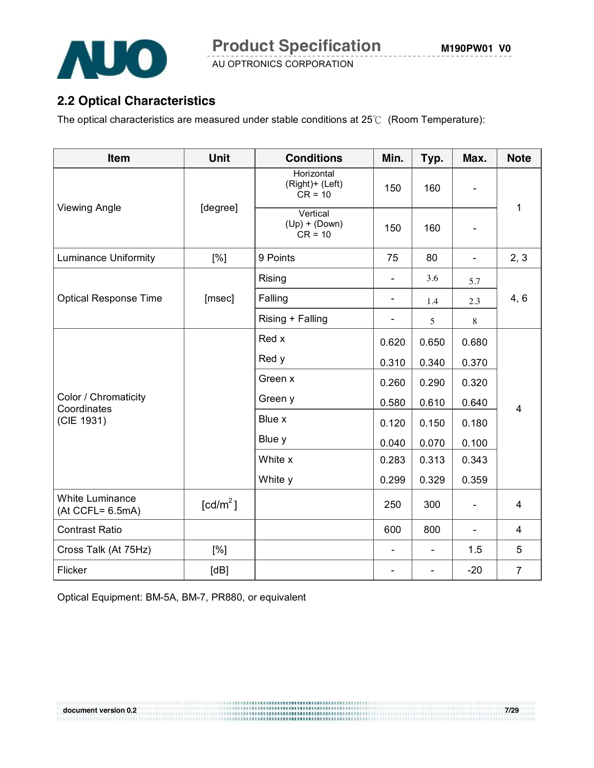

## **2.2 Optical Characteristics**

The optical characteristics are measured under stable conditions at 25℃ (Room Temperature):

| Item                                   | Unit                 | <b>Conditions</b>                                      | Min.                     | Typ.                     | Max.                     | <b>Note</b>    |  |
|----------------------------------------|----------------------|--------------------------------------------------------|--------------------------|--------------------------|--------------------------|----------------|--|
|                                        |                      | Horizontal<br>(Right)+ (Left)<br>$CR = 10$             | 150                      | 160                      | $\overline{\phantom{0}}$ |                |  |
| <b>Viewing Angle</b>                   | [degree]             | Vertical<br>$(Up) + (Down)$<br>160<br>150<br>$CR = 10$ |                          |                          | $\mathbf{1}$             |                |  |
| Luminance Uniformity                   | [%]                  | 9 Points                                               | 75                       | 80                       | $\overline{a}$           | 2, 3           |  |
|                                        |                      | Rising                                                 | $\overline{\phantom{0}}$ | 3.6                      | 5.7                      |                |  |
| <b>Optical Response Time</b>           | [msec]               | Falling                                                | $\overline{\phantom{a}}$ | 1.4                      | 2.3                      | 4, 6           |  |
|                                        |                      | Rising + Falling                                       | $\overline{\phantom{a}}$ | 5                        | $8\,$                    |                |  |
|                                        |                      | Red x                                                  | 0.620                    | 0.650                    | 0.680                    |                |  |
|                                        |                      | Red y                                                  | 0.310                    | 0.340                    | 0.370                    |                |  |
|                                        |                      | Green x                                                | 0.260                    | 0.290                    | 0.320                    |                |  |
| Color / Chromaticity<br>Coordinates    |                      | Green y                                                | 0.580                    | 0.610                    | 0.640                    | $\overline{4}$ |  |
| (CIE 1931)                             |                      | Blue x                                                 | 0.120                    | 0.150                    | 0.180                    |                |  |
|                                        |                      | Blue y                                                 | 0.040                    | 0.070                    | 0.100                    |                |  |
|                                        |                      | White x                                                | 0.313<br>0.283           |                          | 0.343                    |                |  |
|                                        |                      | White y                                                | 0.299                    | 0.329                    | 0.359                    |                |  |
| White Luminance<br>$(At CCFL = 6.5mA)$ | [cd/m <sup>2</sup> ] |                                                        | 250                      | 300                      | $\overline{\phantom{a}}$ | $\overline{4}$ |  |
| <b>Contrast Ratio</b>                  |                      |                                                        | 600                      | 800                      | $\blacksquare$           | 4              |  |
| Cross Talk (At 75Hz)                   | [%]                  |                                                        | $\blacksquare$           | $\overline{\phantom{0}}$ | 1.5                      | 5              |  |
| Flicker                                | [dB]                 |                                                        | $\overline{\phantom{0}}$ | $\overline{a}$           | $-20$                    | $\overline{7}$ |  |

Optical Equipment: BM-5A, BM-7, PR880, or equivalent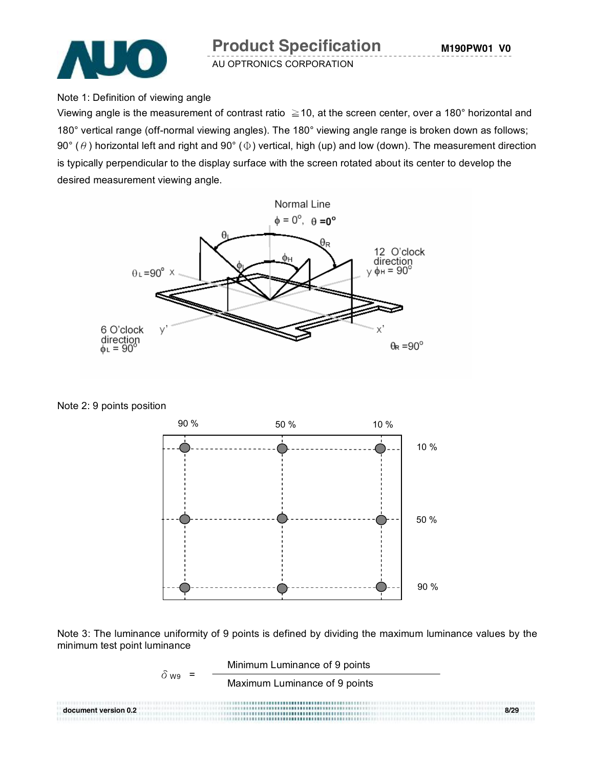

Note 1: Definition of viewing angle

Viewing angle is the measurement of contrast ratio  $\geq$  10, at the screen center, over a 180° horizontal and 180° vertical range (off-normal viewing angles). The 180° viewing angle range is broken down as follows; 90° ( $\theta$ ) horizontal left and right and 90° ( $\Phi$ ) vertical, high (up) and low (down). The measurement direction is typically perpendicular to the display surface with the screen rotated about its center to develop the desired measurement viewing angle.



Note 2: 9 points position



Note 3: The luminance uniformity of 9 points is defined by dividing the maximum luminance values by the minimum test point luminance

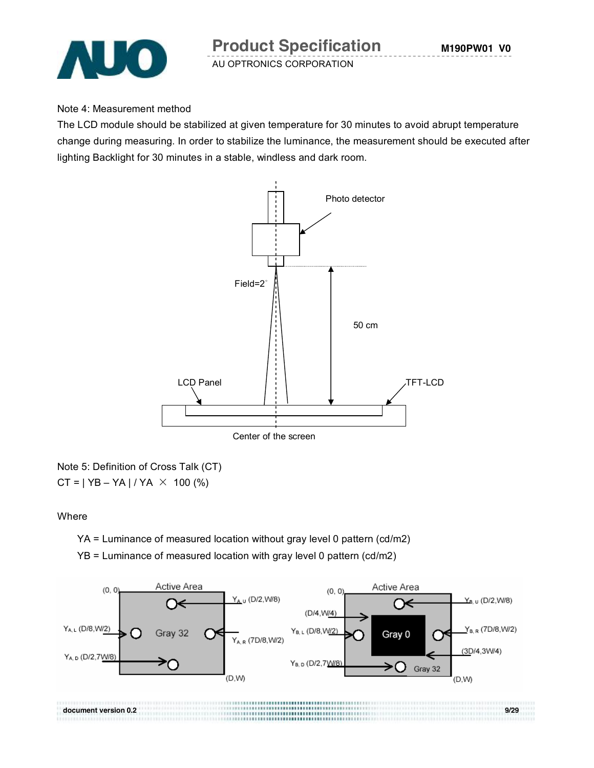

#### Note 4: Measurement method

The LCD module should be stabilized at given temperature for 30 minutes to avoid abrupt temperature change during measuring. In order to stabilize the luminance, the measurement should be executed after lighting Backlight for 30 minutes in a stable, windless and dark room.



Note 5: Definition of Cross Talk (CT)  $CT = | YB - YA | / YA \times 100 (%)$ 

#### **Where**

YA = Luminance of measured location without gray level 0 pattern (cd/m2)

YB = Luminance of measured location with gray level 0 pattern (cd/m2)

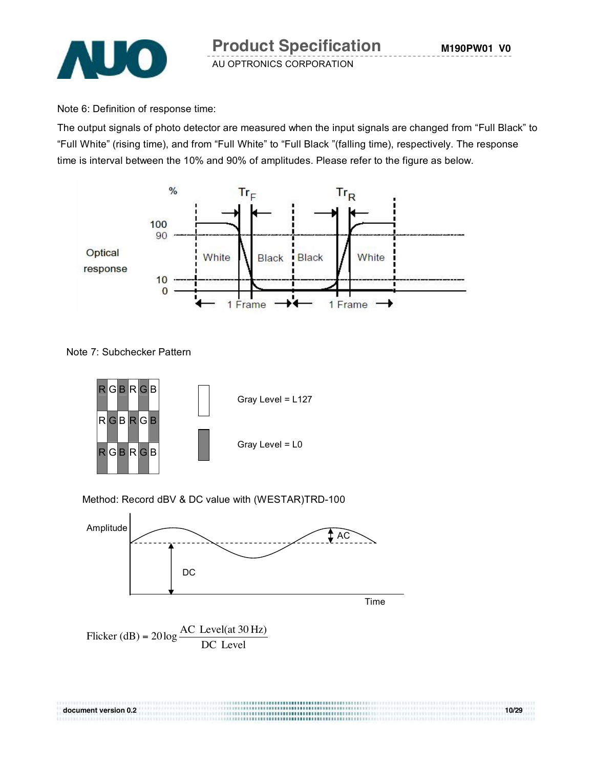

Note 6: Definition of response time:

The output signals of photo detector are measured when the input signals are changed from "Full Black" to "Full White" (rising time), and from "Full White" to "Full Black "(falling time), respectively. The response time is interval between the 10% and 90% of amplitudes. Please refer to the figure as below.



Note 7: Subchecker Pattern



Method: Record dBV & DC value with (WESTAR)TRD-100

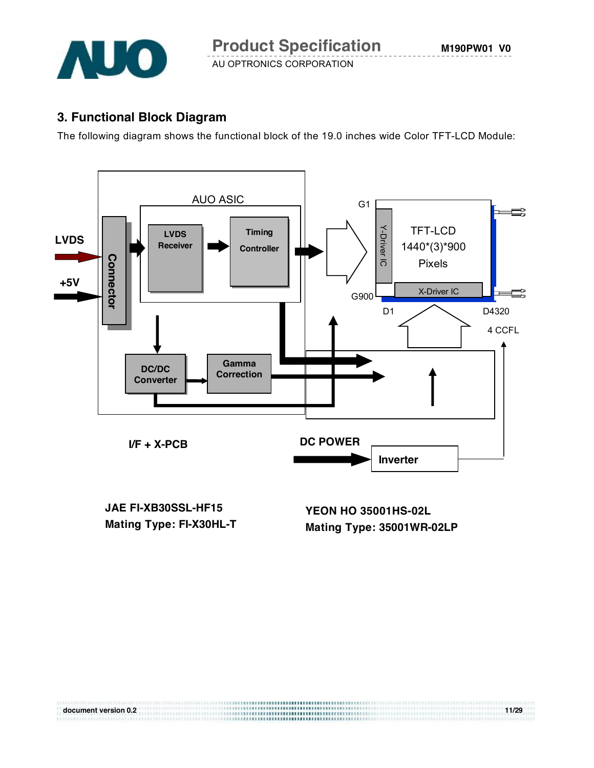

#### **3. Functional Block Diagram**

The following diagram shows the functional block of the 19.0 inches wide Color TFT-LCD Module:



**JAE FI-XB30SSL-HF15 Mating Type: FI-X30HL-T**

**YEON HO 35001HS-02L Mating Type: 35001WR-02LP**

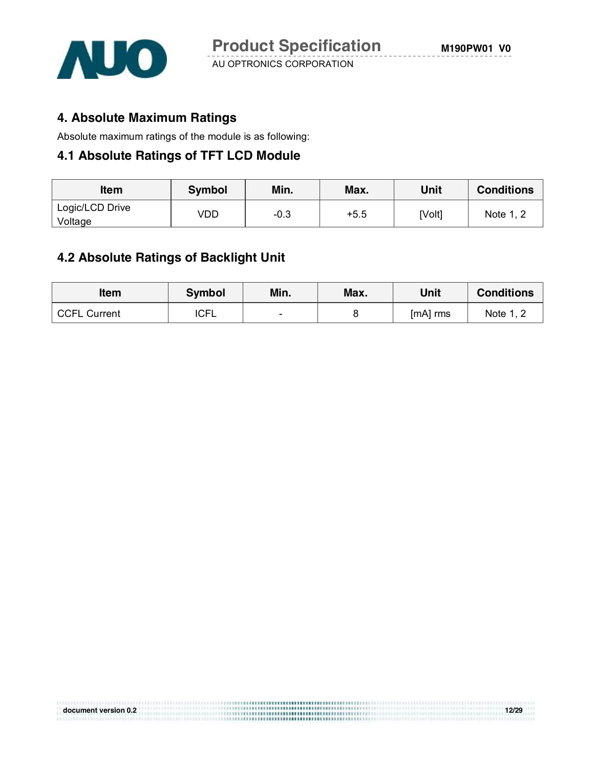

#### **4. Absolute Maximum Ratings**

Absolute maximum ratings of the module is as following:

## **4.1 Absolute Ratings of TFT LCD Module**

| <b>Item</b>     | <b>Symbol</b> | Min. | Max.   | Unit   | <b>Conditions</b> |
|-----------------|---------------|------|--------|--------|-------------------|
| Logic/LCD Drive | VDD           | -0.3 | $+5.5$ | [Volt] | Note 1, 2         |
| Voltage         |               |      |        |        |                   |

#### **4.2 Absolute Ratings of Backlight Unit**

| <b>Item</b>  | <b>Symbol</b> | Min. | Max. | Unit     | <b>Conditions</b> |
|--------------|---------------|------|------|----------|-------------------|
| CCFL Current | <b>ICFL</b>   | $\,$ |      | [mA] rms | Note 1, 2         |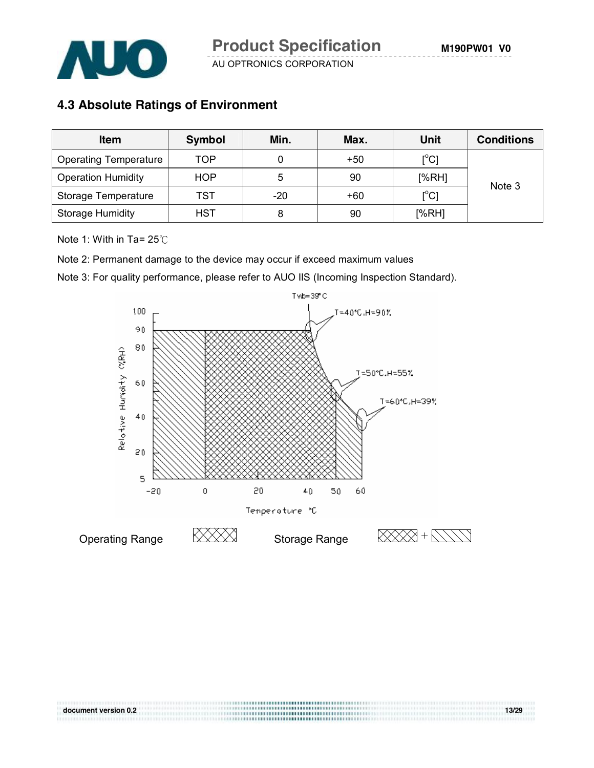

|  |  | <b>4.3 Absolute Ratings of Environment</b> |
|--|--|--------------------------------------------|
|--|--|--------------------------------------------|

| <b>Item</b>                  | <b>Symbol</b> | Min.  | Max.        | Unit                       | <b>Conditions</b> |
|------------------------------|---------------|-------|-------------|----------------------------|-------------------|
| <b>Operating Temperature</b> | TOP           | 0     | $+50$       | $\mathop{\rm l}{\rm ^oC1}$ |                   |
| <b>Operation Humidity</b>    | <b>HOP</b>    | 5     | 90          | [%RH]                      | Note 3            |
| Storage Temperature          | TST           | $-20$ | $+60$       | $[^{\circ}C]$              |                   |
| <b>Storage Humidity</b>      | <b>HST</b>    | 8     | [%RH]<br>90 |                            |                   |

Note 1: With in Ta= 25℃

Note 2: Permanent damage to the device may occur if exceed maximum values

Note 3: For quality performance, please refer to AUO IIS (Incoming Inspection Standard).

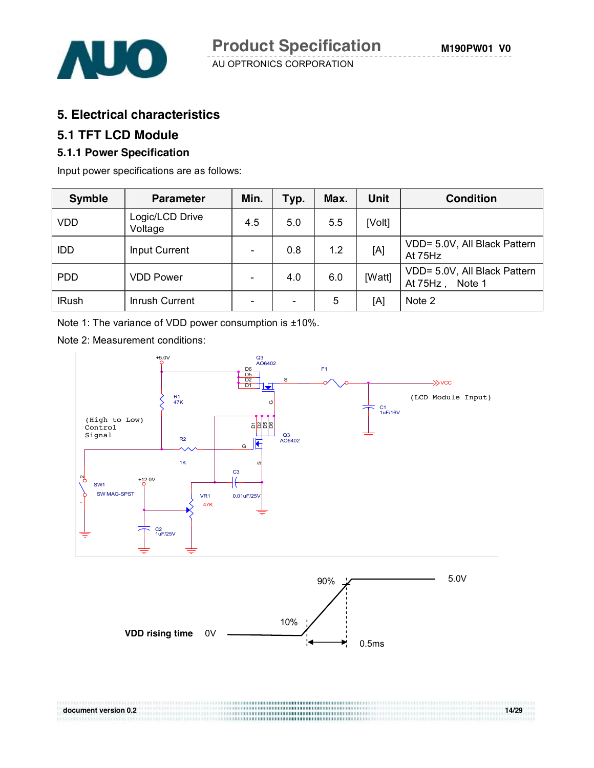

#### **5. Electrical characteristics**

#### **5.1 TFT LCD Module**

#### **5.1.1 Power Specification**

Input power specifications are as follows:

| <b>Symble</b> | <b>Parameter</b>           | Min.                     | Typ. | Max. | <b>Unit</b> | <b>Condition</b>                                      |
|---------------|----------------------------|--------------------------|------|------|-------------|-------------------------------------------------------|
| <b>VDD</b>    | Logic/LCD Drive<br>Voltage | 4.5                      | 5.0  | 5.5  | [Volt]      |                                                       |
| <b>IDD</b>    | Input Current              | $\overline{\phantom{0}}$ | 0.8  | 1.2  | [A]         | VDD= 5.0V, All Black Pattern<br>At 75Hz               |
| <b>PDD</b>    | <b>VDD Power</b>           |                          | 4.0  | 6.0  | [Watt]      | VDD= 5.0V, All Black Pattern<br>At $75Hz$ ,<br>Note 1 |
| <b>IRush</b>  | Inrush Current             | $\overline{\phantom{0}}$ |      | 5    | [A]         | Note 2                                                |

Note 1: The variance of VDD power consumption is ±10%.

Note 2: Measurement conditions:



**document version 0.2 14/29**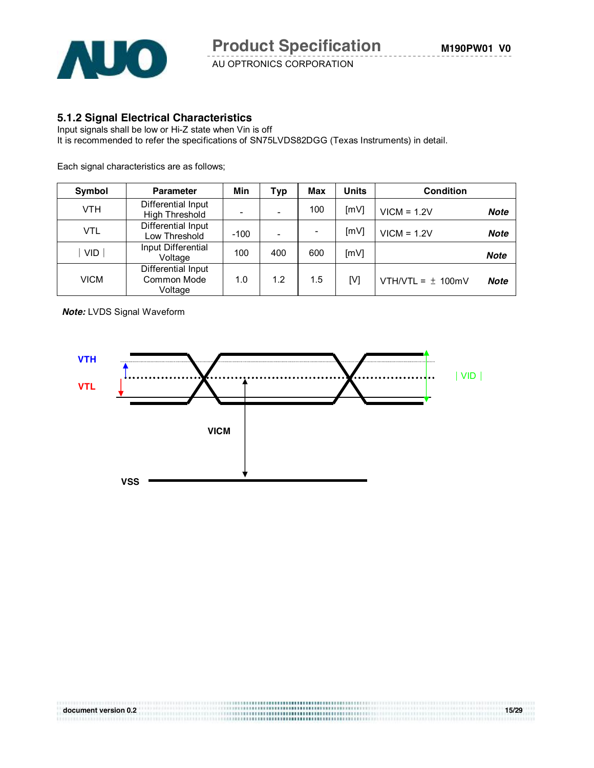

#### **5.1.2 Signal Electrical Characteristics**

Input signals shall be low or Hi-Z state when Vin is off It is recommended to refer the specifications of SN75LVDS82DGG (Texas Instruments) in detail.

Each signal characteristics are as follows;

| Symbol      | <b>Parameter</b>                             | Min    | <b>Typ</b>               | Max | <b>Units</b> | <b>Condition</b>      |             |
|-------------|----------------------------------------------|--------|--------------------------|-----|--------------|-----------------------|-------------|
| <b>VTH</b>  | Differential Input<br><b>High Threshold</b>  |        |                          | 100 | [mV]         | $VICM = 1.2V$         | <b>Note</b> |
| <b>VTL</b>  | Differential Input<br>Low Threshold          | $-100$ | $\overline{\phantom{a}}$ |     | [mV]         | $VICM = 1.2V$         | Note        |
| <b>VID</b>  | Input Differential<br>Voltage                | 100    | 400                      | 600 | [mV]         |                       | Note        |
| <b>VICM</b> | Differential Input<br>Common Mode<br>Voltage | 1.0    | 1.2                      | 1.5 | [V]          | VTH/VTL = $\pm$ 100mV | Note        |

*Note:* LVDS Signal Waveform



| document version 0.2 | 15/29 |
|----------------------|-------|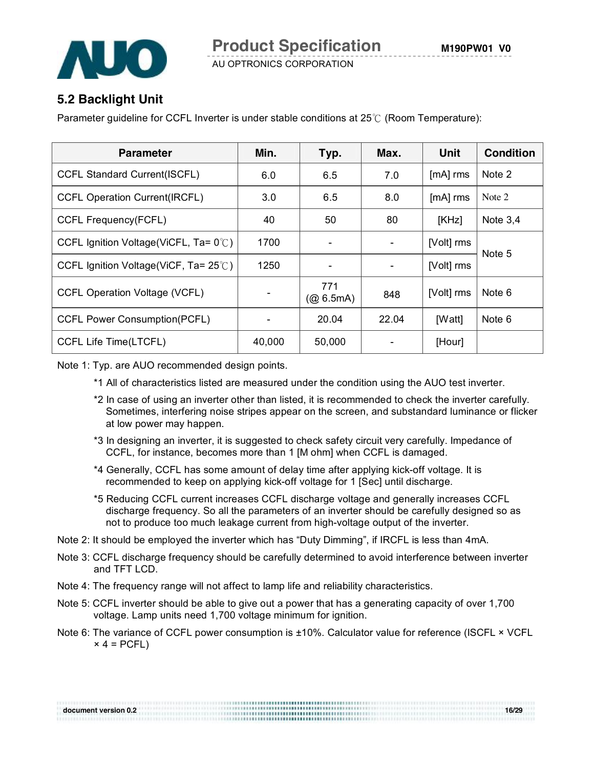

#### **5.2 Backlight Unit**

Parameter guideline for CCFL Inverter is under stable conditions at 25℃ (Room Temperature):

| <b>Parameter</b>                                | Min.   | Typ.              | Max.  | <b>Unit</b> | <b>Condition</b> |
|-------------------------------------------------|--------|-------------------|-------|-------------|------------------|
| <b>CCFL Standard Current (ISCFL)</b>            | 6.0    | 6.5               | 7.0   | [mA] rms    | Note 2           |
| <b>CCFL Operation Current(IRCFL)</b>            | 3.0    | 6.5               | 8.0   | [mA] rms    | Note 2           |
| <b>CCFL Frequency(FCFL)</b>                     | 40     | 50                | 80    | [KHz]       | Note $3,4$       |
| CCFL Ignition Voltage(ViCFL, Ta= $0^{\circ}$ C) | 1700   |                   |       | [Volt] rms  |                  |
| CCFL Ignition Voltage(ViCF, Ta= $25^{\circ}$ C) | 1250   |                   |       | [Volt] rms  | Note 5           |
| <b>CCFL Operation Voltage (VCFL)</b>            |        | 771<br>(Q0 6.5mA) | 848   | [Volt] rms  | Note 6           |
| <b>CCFL Power Consumption(PCFL)</b>             |        | 20.04             | 22.04 | [Watt]      | Note 6           |
| CCFL Life Time(LTCFL)                           | 40,000 | 50,000            |       | [Hour]      |                  |

Note 1: Typ. are AUO recommended design points.

- \*1 All of characteristics listed are measured under the condition using the AUO test inverter.
- \*2 In case of using an inverter other than listed, it is recommended to check the inverter carefully. Sometimes, interfering noise stripes appear on the screen, and substandard luminance or flicker at low power may happen.
- \*3 In designing an inverter, it is suggested to check safety circuit very carefully. Impedance of CCFL, for instance, becomes more than 1 [M ohm] when CCFL is damaged.
- \*4 Generally, CCFL has some amount of delay time after applying kick-off voltage. It is recommended to keep on applying kick-off voltage for 1 [Sec] until discharge.
- \*5 Reducing CCFL current increases CCFL discharge voltage and generally increases CCFL discharge frequency. So all the parameters of an inverter should be carefully designed so as not to produce too much leakage current from high-voltage output of the inverter.
- Note 2: It should be employed the inverter which has "Duty Dimming", if IRCFL is less than 4mA.
- Note 3: CCFL discharge frequency should be carefully determined to avoid interference between inverter and TFT LCD.
- Note 4: The frequency range will not affect to lamp life and reliability characteristics.
- Note 5: CCFL inverter should be able to give out a power that has a generating capacity of over 1,700 voltage. Lamp units need 1,700 voltage minimum for ignition.
- Note 6: The variance of CCFL power consumption is ±10%. Calculator value for reference (ISCFL × VCFL  $\times$  4 = PCFL)

| document version 0.2 | 16/29 |
|----------------------|-------|
|                      |       |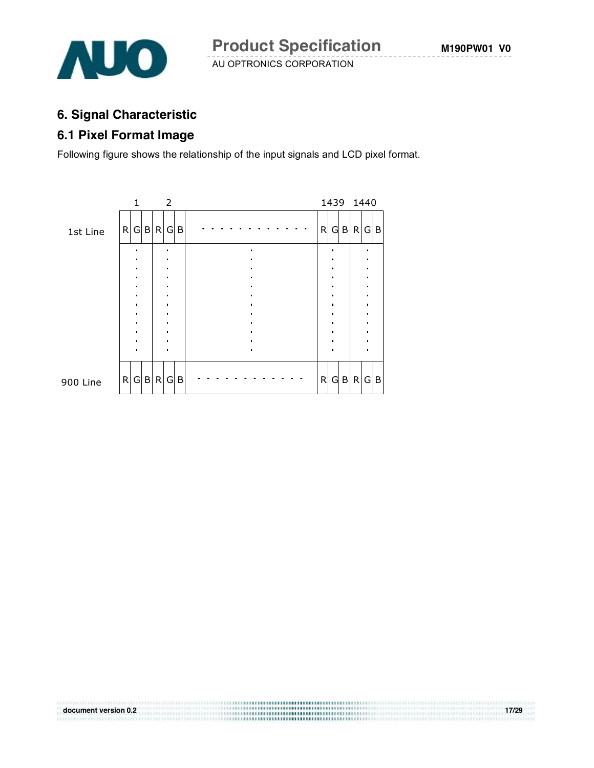

## **6. Signal Characteristic**

## **6.1 Pixel Format Image**

Following figure shows the relationship of the input signals and LCD pixel format.

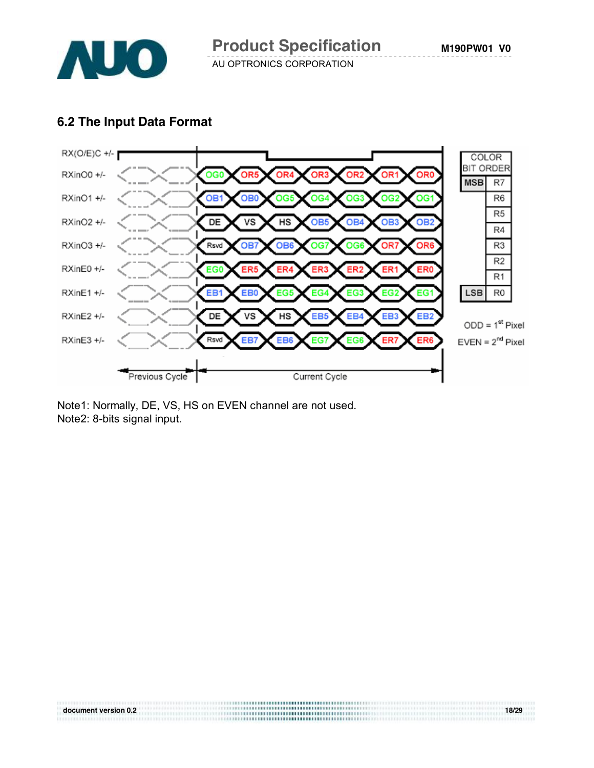

#### **6.2 The Input Data Format**



Note1: Normally, DE, VS, HS on EVEN channel are not used. Note2: 8-bits signal input.

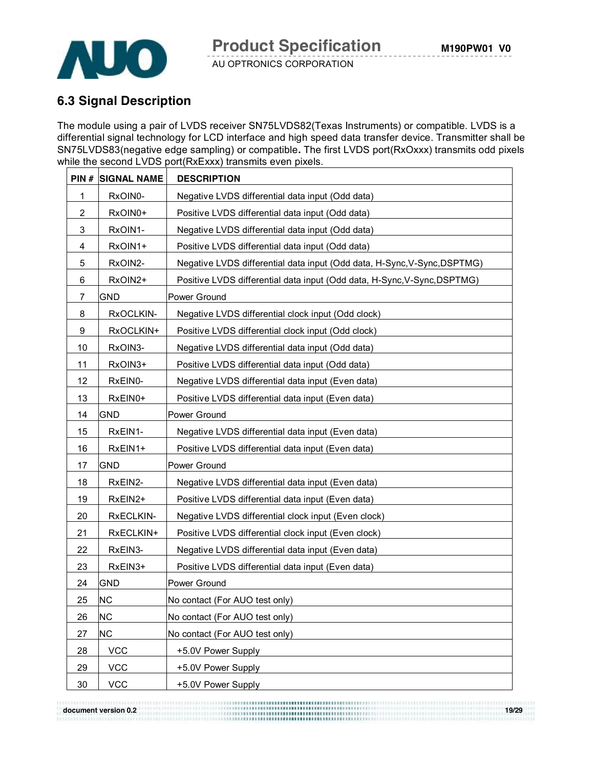

## **6.3 Signal Description**

The module using a pair of LVDS receiver SN75LVDS82(Texas Instruments) or compatible. LVDS is a differential signal technology for LCD interface and high speed data transfer device. Transmitter shall be SN75LVDS83(negative edge sampling) or compatible**.** The first LVDS port(RxOxxx) transmits odd pixels while the second LVDS port(RxExxx) transmits even pixels.

| PIN#           | <b>SIGNAL NAME</b> | <b>DESCRIPTION</b>                                                       |
|----------------|--------------------|--------------------------------------------------------------------------|
| 1              | RxOIN0-            | Negative LVDS differential data input (Odd data)                         |
| $\overline{2}$ | RxOIN0+            | Positive LVDS differential data input (Odd data)                         |
| 3              | RxOIN1-            | Negative LVDS differential data input (Odd data)                         |
| 4              | RxOIN1+            | Positive LVDS differential data input (Odd data)                         |
| 5              | RxOIN2-            | Negative LVDS differential data input (Odd data, H-Sync, V-Sync, DSPTMG) |
| 6              | RxOIN2+            | Positive LVDS differential data input (Odd data, H-Sync, V-Sync, DSPTMG) |
| 7              | <b>GND</b>         | Power Ground                                                             |
| 8              | RxOCLKIN-          | Negative LVDS differential clock input (Odd clock)                       |
| 9              | RxOCLKIN+          | Positive LVDS differential clock input (Odd clock)                       |
| 10             | RxOIN3-            | Negative LVDS differential data input (Odd data)                         |
| 11             | RxOIN3+            | Positive LVDS differential data input (Odd data)                         |
| 12             | RxEIN0-            | Negative LVDS differential data input (Even data)                        |
| 13             | RxEIN0+            | Positive LVDS differential data input (Even data)                        |
| 14             | <b>GND</b>         | Power Ground                                                             |
| 15             | RxEIN1-            | Negative LVDS differential data input (Even data)                        |
| 16             | RxEIN1+            | Positive LVDS differential data input (Even data)                        |
| 17             | GND                | Power Ground                                                             |
| 18             | RxEIN2-            | Negative LVDS differential data input (Even data)                        |
| 19             | RxEIN2+            | Positive LVDS differential data input (Even data)                        |
| 20             | RxECLKIN-          | Negative LVDS differential clock input (Even clock)                      |
| 21             | RxECLKIN+          | Positive LVDS differential clock input (Even clock)                      |
| 22             | RxEIN3-            | Negative LVDS differential data input (Even data)                        |
| 23             | RxEIN3+            | Positive LVDS differential data input (Even data)                        |
| 24             | <b>GND</b>         | Power Ground                                                             |
| 25             | <b>NC</b>          | No contact (For AUO test only)                                           |
| 26             | <b>NC</b>          | No contact (For AUO test only)                                           |
| 27             | <b>NC</b>          | No contact (For AUO test only)                                           |
| 28             | <b>VCC</b>         | +5.0V Power Supply                                                       |
| 29             | <b>VCC</b>         | +5.0V Power Supply                                                       |
| 30             | <b>VCC</b>         | +5.0V Power Supply                                                       |

**document version 0.2 19/29 19/29 19/29 19/29 19/29 19/29 19/29 19/29 19/29 19/29 19/29 19/29 19/29 19/29 19/29 19/29 19/29 19/29 19/29 19/29 19/29 19/29 19/29 19/29 19/29**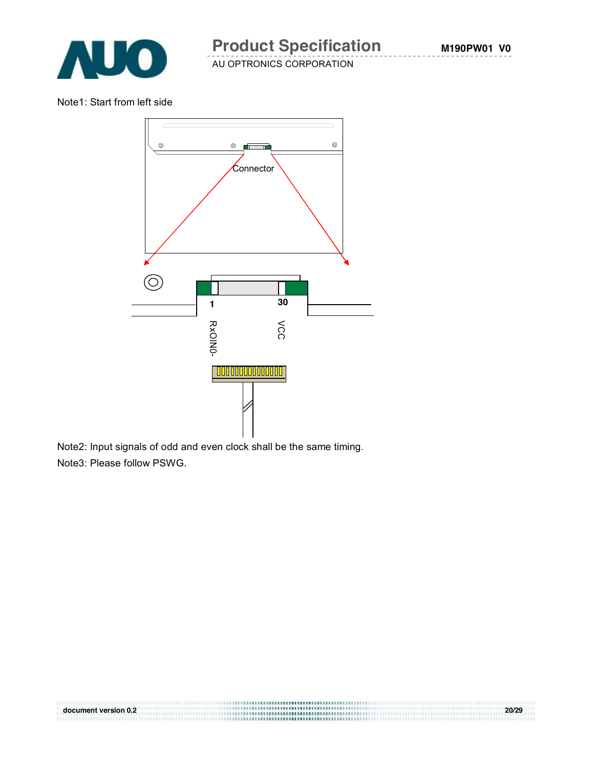

Note1: Start from left side



Note2: Input signals of odd and even clock shall be the same timing. Note3: Please follow PSWG.

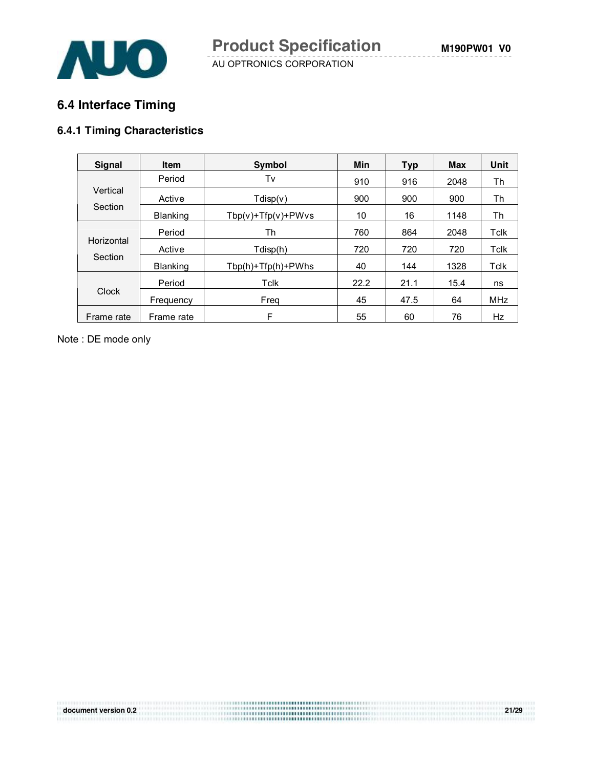## **6.4 Interface Timing**

#### **6.4.1 Timing Characteristics**

| <b>Signal</b>         | <b>Item</b>     | <b>Symbol</b>            | Min  | <b>Typ</b> | <b>Max</b> | Unit       |
|-----------------------|-----------------|--------------------------|------|------------|------------|------------|
|                       | Period          | Tv                       | 910  | 916        | 2048       | Th         |
| Vertical              | Active          | Tdisp(v)                 | 900  | 900        | 900        | Th         |
| Section               | Blanking        | $Tbp(v) + Tfp(v) + PWvs$ | 10   | 16         | 1148       | Th         |
| Horizontal<br>Section | Period          | Th                       | 760  | 864        | 2048       | Tclk       |
|                       | Active          | Tdisp(h)                 | 720  | 720        | 720        | Tclk       |
|                       | <b>Blanking</b> | $Tbp(h)+Tfp(h)+PWhs$     | 40   | 144        | 1328       | Tclk       |
| Clock                 | Period          | Tclk                     | 22.2 | 21.1       | 15.4       | ns         |
|                       | Frequency       | Frea                     | 45   | 47.5       | 64         | <b>MHz</b> |
| Frame rate            | Frame rate      | F                        | 55   | 60         | 76         | Hz         |

Note : DE mode only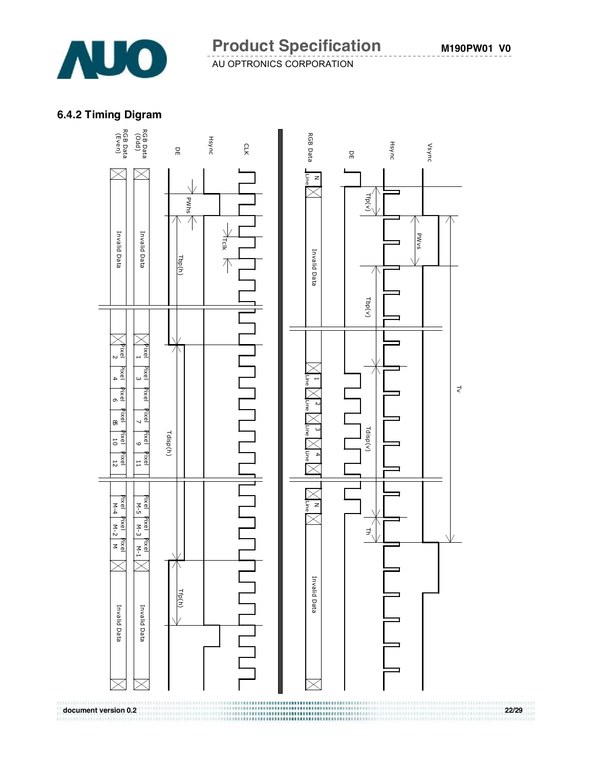

#### **6.4.2 Timing Digram**

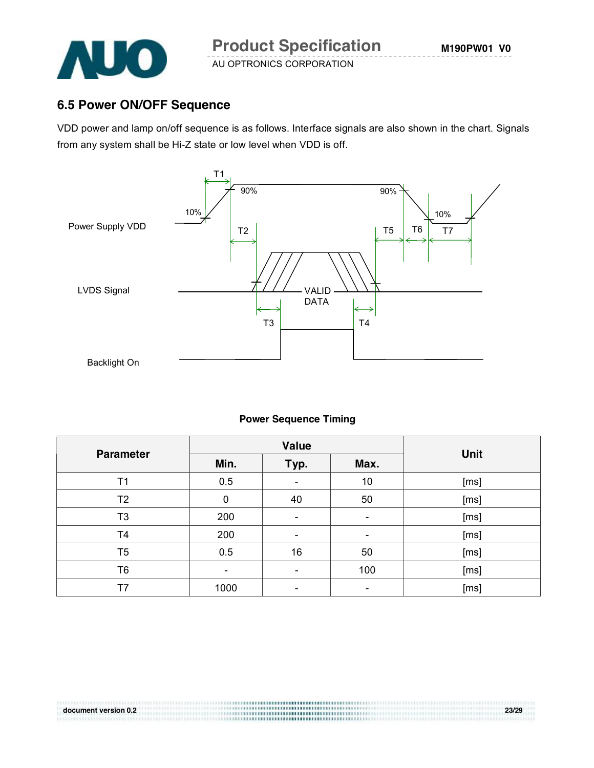

## **6.5 Power ON/OFF Sequence**

VDD power and lamp on/off sequence is as follows. Interface signals are also shown in the chart. Signals from any system shall be Hi-Z state or low level when VDD is off.



#### **Power Sequence Timing**

| <b>Parameter</b> |                 | <b>Value</b>             | <b>Unit</b>    |      |
|------------------|-----------------|--------------------------|----------------|------|
|                  | Min.            | Typ.                     | Max.           |      |
| T1               | 0.5             |                          | 10             | [ms] |
| T <sub>2</sub>   | 0               | 40                       | 50             | [ms] |
| T <sub>3</sub>   | 200             | $\qquad \qquad$          | $\blacksquare$ | [ms] |
| T4               | 200             |                          | -              | [ms] |
| T <sub>5</sub>   | 0.5             | 16                       | 50             | [ms] |
| T6               | $\qquad \qquad$ | $\overline{\phantom{0}}$ | 100            | [ms] |
| T7               | 1000            |                          |                | [ms] |

## **document version 0.2 23/29 23/29**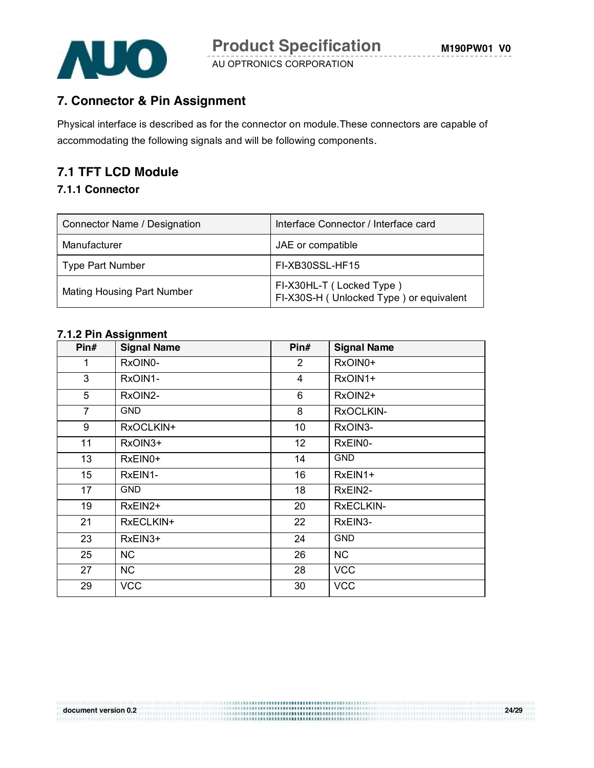

## **7. Connector & Pin Assignment**

Physical interface is described as for the connector on module.These connectors are capable of accommodating the following signals and will be following components.

#### **7.1 TFT LCD Module**

#### **7.1.1 Connector**

| Connector Name / Designation      | Interface Connector / Interface card                                |
|-----------------------------------|---------------------------------------------------------------------|
| Manufacturer                      | JAE or compatible                                                   |
| <b>Type Part Number</b>           | FI-XB30SSL-HF15                                                     |
| <b>Mating Housing Part Number</b> | FI-X30HL-T (Locked Type)<br>FI-X30S-H (Unlocked Type) or equivalent |

#### **7.1.2 Pin Assignment**

| Pin#           | <b>Signal Name</b> | Pin#            | <b>Signal Name</b> |
|----------------|--------------------|-----------------|--------------------|
| 1              | RxOIN0-            | 2               | RxOIN0+            |
| 3              | RxOIN1-            | 4               | RxOIN1+            |
| 5              | RxOIN2-            | 6               | RxOIN2+            |
| $\overline{7}$ | <b>GND</b>         | 8               | RxOCLKIN-          |
| 9              | RxOCLKIN+          | 10              | RxOIN3-            |
| 11             | RxOIN3+            | 12 <sup>2</sup> | RxEIN0-            |
| 13             | RxEIN0+            | 14              | <b>GND</b>         |
| 15             | RxEIN1-            | 16              | RxEIN1+            |
| 17             | <b>GND</b>         | 18              | RxEIN2-            |
| 19             | RxEIN2+            | 20              | <b>RxECLKIN-</b>   |
| 21             | RxECLKIN+          | 22              | RxEIN3-            |
| 23             | RxEIN3+            | 24              | <b>GND</b>         |
| 25             | <b>NC</b>          | 26              | <b>NC</b>          |
| 27             | <b>NC</b>          | 28              | <b>VCC</b>         |
| 29             | <b>VCC</b>         | 30              | <b>VCC</b>         |

# **document version 0.2 24/29 24/29**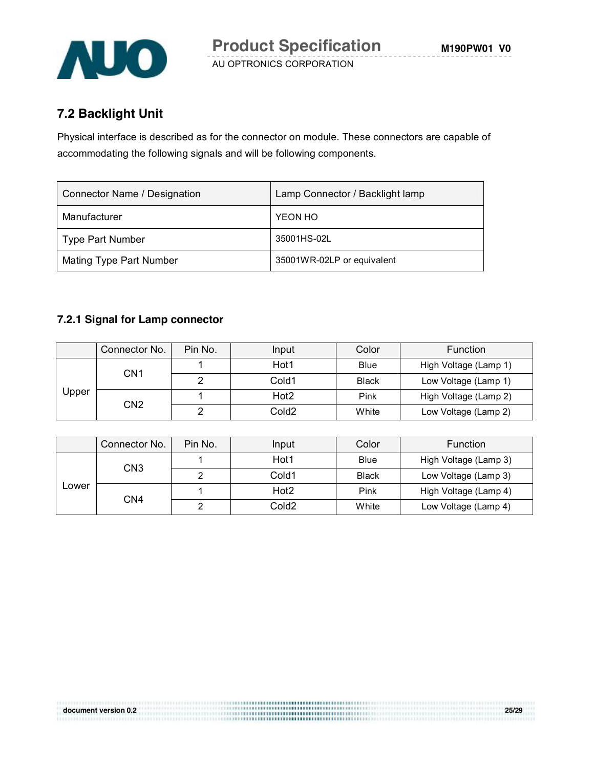

## **7.2 Backlight Unit**

Physical interface is described as for the connector on module. These connectors are capable of accommodating the following signals and will be following components.

| Connector Name / Designation | Lamp Connector / Backlight lamp |
|------------------------------|---------------------------------|
| Manufacturer                 | YEON HO                         |
| <b>Type Part Number</b>      | 35001HS-02L                     |
| Mating Type Part Number      | 35001WR-02LP or equivalent      |

#### **7.2.1 Signal for Lamp connector**

|                     | Connector No. | Pin No. | Input            | Color        | <b>Function</b>       |
|---------------------|---------------|---------|------------------|--------------|-----------------------|
| CN1<br>Upper<br>CN2 |               |         | Hot1             | <b>Blue</b>  | High Voltage (Lamp 1) |
|                     |               |         | Cold1            | <b>Black</b> | Low Voltage (Lamp 1)  |
|                     |               |         | Hot <sub>2</sub> | Pink         | High Voltage (Lamp 2) |
|                     |               |         | Cold2            | White        | Low Voltage (Lamp 2)  |

|       | Connector No. | Pin No. | Input            | Color        | <b>Function</b>       |
|-------|---------------|---------|------------------|--------------|-----------------------|
| Lower |               |         | Hot1             | <b>Blue</b>  | High Voltage (Lamp 3) |
|       | CN3           |         | Cold1            | <b>Black</b> | Low Voltage (Lamp 3)  |
|       | CN4           |         | Hot <sub>2</sub> | Pink         | High Voltage (Lamp 4) |
|       |               |         | Cold2            | White        | Low Voltage (Lamp 4)  |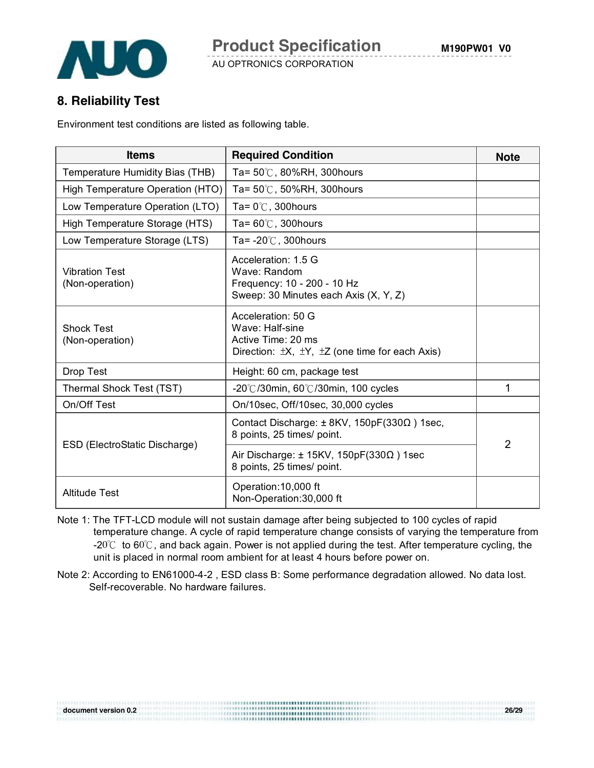

## **8. Reliability Test**

Environment test conditions are listed as following table.

| <b>Items</b>                             | <b>Required Condition</b>                                                                                                      | <b>Note</b>    |
|------------------------------------------|--------------------------------------------------------------------------------------------------------------------------------|----------------|
| Temperature Humidity Bias (THB)          | Ta= $50^{\circ}$ C, 80%RH, 300 hours                                                                                           |                |
| High Temperature Operation (HTO)         | Ta= 50℃, 50%RH, 300hours                                                                                                       |                |
| Low Temperature Operation (LTO)          | Ta= $0^{\circ}$ C, 300 hours                                                                                                   |                |
| High Temperature Storage (HTS)           | Ta= $60^{\circ}$ C, 300 hours                                                                                                  |                |
| Low Temperature Storage (LTS)            | Ta= $-20^{\circ}$ C, 300 hours                                                                                                 |                |
| <b>Vibration Test</b><br>(Non-operation) | Acceleration: 1.5 G<br>Wave: Random<br>Frequency: 10 - 200 - 10 Hz<br>Sweep: 30 Minutes each Axis (X, Y, Z)                    |                |
| <b>Shock Test</b><br>(Non-operation)     | Acceleration: 50 G<br>Wave: Half-sine<br>Active Time: 20 ms<br>Direction: $\pm X$ , $\pm Y$ , $\pm Z$ (one time for each Axis) |                |
| Drop Test                                | Height: 60 cm, package test                                                                                                    |                |
| Thermal Shock Test (TST)                 | $-20^{\circ}$ C/30min, 60 $^{\circ}$ C/30min, 100 cycles                                                                       | 1              |
| On/Off Test                              | On/10sec, Off/10sec, 30,000 cycles                                                                                             |                |
|                                          | Contact Discharge: ± 8KV, 150pF(330Ω) 1sec,<br>8 points, 25 times/ point.                                                      | $\overline{2}$ |
| ESD (ElectroStatic Discharge)            | Air Discharge: $\pm$ 15KV, 150pF(330 $\Omega$ ) 1sec<br>8 points, 25 times/ point.                                             |                |
| <b>Altitude Test</b>                     | Operation: 10,000 ft<br>Non-Operation:30,000 ft                                                                                |                |

Note 1: The TFT-LCD module will not sustain damage after being subjected to 100 cycles of rapid temperature change. A cycle of rapid temperature change consists of varying the temperature from -20℃ to 60℃, and back again. Power is not applied during the test. After temperature cycling, the unit is placed in normal room ambient for at least 4 hours before power on.

Note 2: According to EN61000-4-2 , ESD class B: Some performance degradation allowed. No data lost. Self-recoverable. No hardware failures.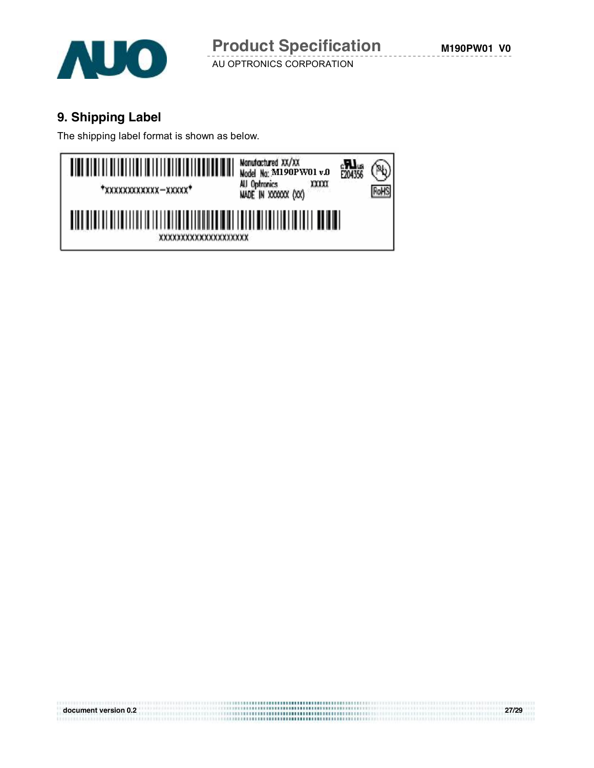

## **9. Shipping Label**

The shipping label format is shown as below.